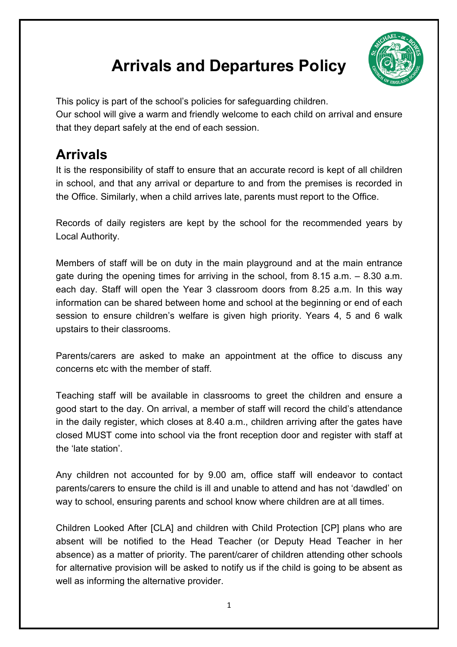## **Arrivals and Departures Policy**



This policy is part of the school's policies for safeguarding children. Our school will give a warm and friendly welcome to each child on arrival and ensure that they depart safely at the end of each session.

## **Arrivals**

It is the responsibility of staff to ensure that an accurate record is kept of all children in school, and that any arrival or departure to and from the premises is recorded in the Office. Similarly, when a child arrives late, parents must report to the Office.

Records of daily registers are kept by the school for the recommended years by Local Authority.

Members of staff will be on duty in the main playground and at the main entrance gate during the opening times for arriving in the school, from 8.15 a.m. – 8.30 a.m. each day. Staff will open the Year 3 classroom doors from 8.25 a.m. In this way information can be shared between home and school at the beginning or end of each session to ensure children's welfare is given high priority. Years 4, 5 and 6 walk upstairs to their classrooms.

Parents/carers are asked to make an appointment at the office to discuss any concerns etc with the member of staff.

Teaching staff will be available in classrooms to greet the children and ensure a good start to the day. On arrival, a member of staff will record the child's attendance in the daily register, which closes at 8.40 a.m., children arriving after the gates have closed MUST come into school via the front reception door and register with staff at the 'late station'.

Any children not accounted for by 9.00 am, office staff will endeavor to contact parents/carers to ensure the child is ill and unable to attend and has not 'dawdled' on way to school, ensuring parents and school know where children are at all times.

Children Looked After [CLA] and children with Child Protection [CP] plans who are absent will be notified to the Head Teacher (or Deputy Head Teacher in her absence) as a matter of priority. The parent/carer of children attending other schools for alternative provision will be asked to notify us if the child is going to be absent as well as informing the alternative provider.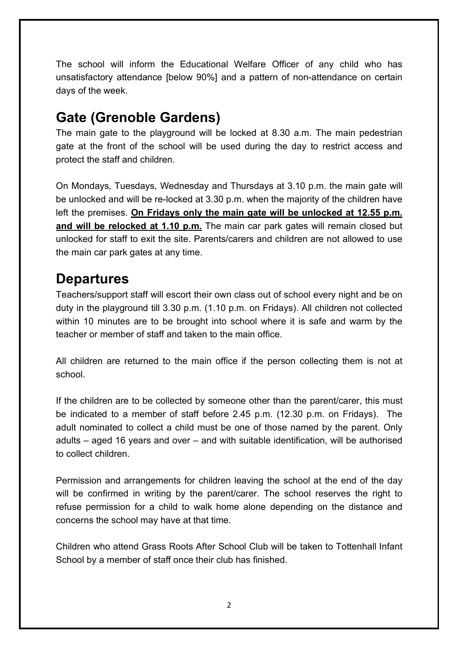The school will inform the Educational Welfare Officer of any child who has unsatisfactory attendance [below 90%] and a pattern of non-attendance on certain days of the week.

## **Gate (Grenoble Gardens)**

The main gate to the playground will be locked at 8.30 a.m. The main pedestrian gate at the front of the school will be used during the day to restrict access and protect the staff and children.

On Mondays, Tuesdays, Wednesday and Thursdays at 3.10 p.m. the main gate will be unlocked and will be re-locked at 3.30 p.m. when the majority of the children have left the premises. **On Fridays only the main gate will be unlocked at 12.55 p.m. and will be relocked at 1.10 p.m.** The main car park gates will remain closed but unlocked for staff to exit the site. Parents/carers and children are not allowed to use the main car park gates at any time.

## **Departures**

Teachers/support staff will escort their own class out of school every night and be on duty in the playground till 3.30 p.m. (1.10 p.m. on Fridays). All children not collected within 10 minutes are to be brought into school where it is safe and warm by the teacher or member of staff and taken to the main office.

All children are returned to the main office if the person collecting them is not at school.

If the children are to be collected by someone other than the parent/carer, this must be indicated to a member of staff before 2.45 p.m. (12.30 p.m. on Fridays). The adult nominated to collect a child must be one of those named by the parent. Only adults – aged 16 years and over – and with suitable identification, will be authorised to collect children.

Permission and arrangements for children leaving the school at the end of the day will be confirmed in writing by the parent/carer. The school reserves the right to refuse permission for a child to walk home alone depending on the distance and concerns the school may have at that time.

Children who attend Grass Roots After School Club will be taken to Tottenhall Infant School by a member of staff once their club has finished.